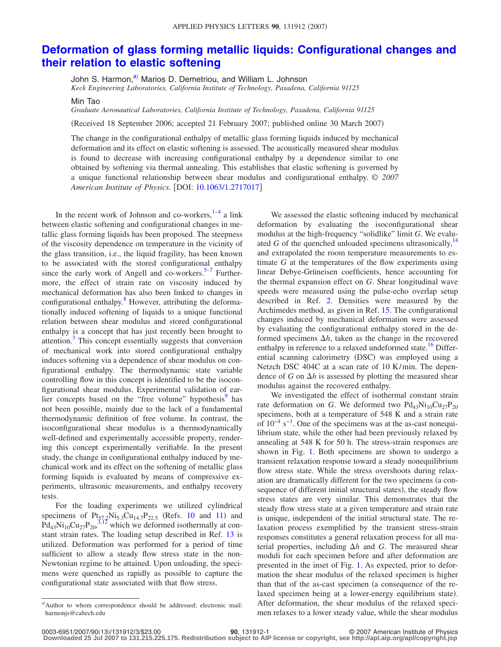## **[Deformation of glass forming metallic liquids: Configurational changes and](http://dx.doi.org/10.1063/1.2717017) [their relation to elastic softening](http://dx.doi.org/10.1063/1.2717017)**

John S. Harmon,<sup>a)</sup> Marios D. Demetriou, and William L. Johnson

*Keck Engineering Laboratories, California Institute of Technology, Pasadena, California 91125*

Min Tao

*Graduate Aeronautical Laboratories, California Institute of Technology, Pasadena, California 91125*

(Received 18 September 2006; accepted 21 February 2007; published online 30 March 2007)

The change in the configurational enthalpy of metallic glass forming liquids induced by mechanical deformation and its effect on elastic softening is assessed. The acoustically measured shear modulus is found to decrease with increasing configurational enthalpy by a dependence similar to one obtained by softening via thermal annealing. This establishes that elastic softening is governed by a unique functional relationship between shear modulus and configurational enthalpy. © *2007 American Institute of Physics*. DOI: [10.1063/1.2717017](http://dx.doi.org/10.1063/1.2717017)

In the recent work of Johnson and co-workers, $1-4$  $1-4$  a link between elastic softening and configurational changes in metallic glass forming liquids has been proposed. The steepness of the viscosity dependence on temperature in the vicinity of the glass transition, i.e., the liquid fragility, has been known to be associated with the stored configurational enthalpy since the early work of Angell and co-workers. $5-7$  Furthermore, the effect of strain rate on viscosity induced by mechanical deformation has also been linked to changes in configurational enthalpy.<sup>8</sup> However, attributing the deformationally induced softening of liquids to a unique functional relation between shear modulus and stored configurational enthalpy is a concept that has just recently been brought to attention.<sup>3</sup> This concept essentially suggests that conversion of mechanical work into stored configurational enthalpy induces softening via a dependence of shear modulus on configurational enthalpy. The thermodynamic state variable controlling flow in this concept is identified to be the isoconfigurational shear modulus. Experimental validation of earlier concepts based on the "free volume" hypothesis<sup>9</sup> has not been possible, mainly due to the lack of a fundamental thermodynamic definition of free volume. In contrast, the isoconfigurational shear modulus is a thermodynamically well-defined and experimentally accessible property, rendering this concept experimentally verifiable. In the present study, the change in configurational enthalpy induced by mechanical work and its effect on the softening of metallic glass forming liquids is evaluated by means of compressive experiments, ultrasonic measurements, and enthalpy recovery tests.

For the loading experiments we utilized cylindrical specimens of  $Pt_{57,2}Ni_{5,3}Cu_{14.7}P_{22.5}$  (Refs. [10](#page-2-7) and [11](#page-2-8)) and  $Pd_{43}Ni_{10}Cu_{27}P_{20}$ ,<sup>[3,](#page-2-5)[12](#page-2-9)</sup> which we deformed isothermally at constant strain rates. The loading setup described in Ref. [13](#page-2-10) is utilized. Deformation was performed for a period of time sufficient to allow a steady flow stress state in the non-Newtonian regime to be attained. Upon unloading, the specimens were quenched as rapidly as possible to capture the configurational state associated with that flow stress.

We assessed the elastic softening induced by mechanical deformation by evaluating the isoconfigurational shear modulus at the high-frequency "solidlike" limit *G*. We evaluated *G* of the quenched unloaded specimens ultrasonically,  $14$ and extrapolated the room temperature measurements to estimate *G* at the temperatures of the flow experiments using linear Debye-Grüneisen coefficients, hence accounting for the thermal expansion effect on *G*. Shear longitudinal wave speeds were measured using the pulse-echo overlap setup described in Ref. [2.](#page-2-12) Densities were measured by the Archimedes method, as given in Ref. [15.](#page-2-13) The configurational changes induced by mechanical deformation were assessed by evaluating the configurational enthalpy stored in the deformed specimens  $\Delta h$ , taken as the change in the recovered enthalpy in reference to a relaxed undeformed state.<sup>16</sup> Differential scanning calorimetry (DSC) was employed using a Netzch DSC 404C at a scan rate of 10 K/min. The dependence of *G* on  $\Delta h$  is assessed by plotting the measured shear modulus against the recovered enthalpy.

We investigated the effect of isothermal constant strain rate deformation on *G*. We deformed two  $Pd_{43}Ni_{10}Cu_{27}P_{20}$ specimens, both at a temperature of 548 K and a strain rate of  $10^{-4}$  s<sup>-1</sup>. One of the specimens was at the as-cast nonequilibrium state, while the other had been previously relaxed by annealing at 548 K for 50 h. The stress-strain responses are shown in Fig. [1.](#page-1-0) Both specimens are shown to undergo a transient relaxation response toward a steady nonequilibrium flow stress state. While the stress overshoots during relaxation are dramatically different for the two specimens (a consequence of different initial structural states), the steady flow stress states are very similar. This demonstrates that the steady flow stress state at a given temperature and strain rate is unique, independent of the initial structural state. The relaxation process exemplified by the transient stress-strain responses constitutes a general relaxation process for all material properties, including  $\Delta h$  and *G*. The measured shear moduli for each specimen before and after deformation are presented in the inset of Fig. [1.](#page-1-0) As expected, prior to deformation the shear modulus of the relaxed specimen is higher than that of the as-cast specimen (a consequence of the relaxed specimen being at a lower-energy equilibrium state). After deformation, the shear modulus of the relaxed specimen relaxes to a lower steady value, while the shear modulus

<span id="page-0-0"></span>a) Author to whom correspondence should be addressed; electronic mail: harmonjs@caltech.edu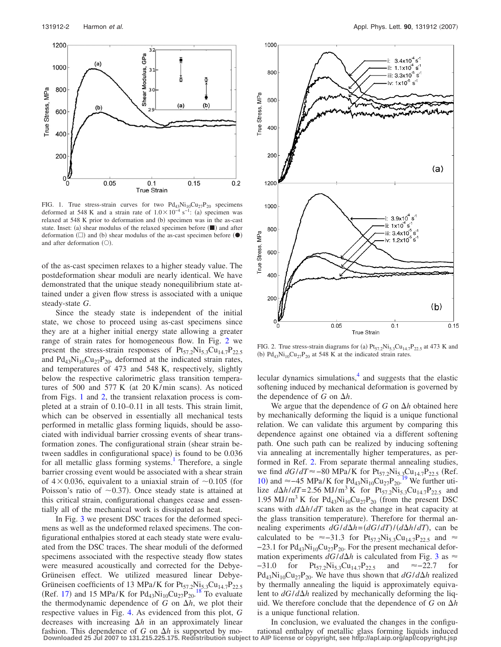<span id="page-1-0"></span>

FIG. 1. True stress-strain curves for two  $Pd_{43}Ni_{10}Cu_{27}P_{20}$  specimens deformed at 548 K and a strain rate of  $1.0 \times 10^{-4}$  s<sup>-1</sup>: (a) specimen was relaxed at 548 K prior to deformation and (b) specimen was in the as-cast state. Inset: (a) shear modulus of the relaxed specimen before  $(\blacksquare)$  and after deformation  $(\Box)$  and (b) shear modulus of the as-cast specimen before  $(\bullet)$ and after deformation  $( \bigcirc )$ .

of the as-cast specimen relaxes to a higher steady value. The postdeformation shear moduli are nearly identical. We have demonstrated that the unique steady nonequilibrium state attained under a given flow stress is associated with a unique steady-state *G*.

Since the steady state is independent of the initial state, we chose to proceed using as-cast specimens since they are at a higher initial energy state allowing a greater range of strain rates for homogeneous flow. In Fig. [2](#page-1-1) we present the stress-strain responses of  $Pt_{57.2}Ni_{5.3}Cu_{14.7}P_{22.5}$ and  $Pd_{43}Ni_{10}Cu_{27}P_{20}$ , deformed at the indicated strain rates, and temperatures of 473 and 548 K, respectively, slightly below the respective calorimetric glass transition temperatures of 500 and 577 K (at 20 K/min scans). As noticed from Figs. [1](#page-1-0) and [2,](#page-1-1) the transient relaxation process is completed at a strain of 0.10–0.11 in all tests. This strain limit, which can be observed in essentially all mechanical tests performed in metallic glass forming liquids, should be associated with individual barrier crossing events of shear transformation zones. The configurational strain (shear strain between saddles in configurational space) is found to be 0.036 for all metallic glass forming systems.<sup>1</sup> Therefore, a single barrier crossing event would be associated with a shear strain of  $4 \times 0.036$ , equivalent to a uniaxial strain of  $\sim 0.105$  (for Poisson's ratio of  $\sim$  0.37). Once steady state is attained at this critical strain, configurational changes cease and essentially all of the mechanical work is dissipated as heat.

In Fig. [3](#page-2-15) we present DSC traces for the deformed specimens as well as the undeformed relaxed specimens. The configurational enthalpies stored at each steady state were evaluated from the DSC traces. The shear moduli of the deformed specimens associated with the respective steady flow states were measured acoustically and corrected for the Debye-Grüneisen effect. We utilized measured linear Debye-Grüneisen coefficients of 13 MPa/K for  $Pt_{57.2}Ni_{5.3}Cu_{14.7}P_{22.5}$ (Ref. [17](#page-2-16)) and 15 MPa/K for  $Pd_{43}Ni_{10}Cu_{27}P_{20}^{18}$  $Pd_{43}Ni_{10}Cu_{27}P_{20}^{18}$  $Pd_{43}Ni_{10}Cu_{27}P_{20}^{18}$  To evaluate the thermodynamic dependence of  $G$  on  $\Delta h$ , we plot their respective values in Fig. [4.](#page-2-18) As evidenced from this plot, *G* decreases with increasing  $\Delta h$  in an approximately linear fashion. This dependence of *G* on  $\Delta h$  is supported by mo-

<span id="page-1-1"></span>

FIG. 2. True stress-strain diagrams for (a)  $Pt_{57.2}Ni_{5.3}Cu_{14.7}P_{22.5}$  at 473 K and (b)  $Pd_{43}Ni_{10}Cu_{27}P_{20}$  at 548 K at the indicated strain rates.

lecular dynamics simulations, $\frac{4}{3}$  and suggests that the elastic softening induced by mechanical deformation is governed by the dependence of G on  $\Delta h$ .

We argue that the dependence of  $G$  on  $\Delta h$  obtained here by mechanically deforming the liquid is a unique functional relation. We can validate this argument by comparing this dependence against one obtained via a different softening path. One such path can be realized by inducing softening via annealing at incrementally higher temperatures, as performed in Ref. [2.](#page-2-12) From separate thermal annealing studies, we find *dG*/*dT*≈-80 MPa/K for Pt<sub>57.2</sub>Ni<sub>5.3</sub>Cu<sub>14.7</sub>P<sub>22.5</sub> (Ref. [10](#page-2-7)) and ≈-45 MPa/K for Pd<sub>43</sub>Ni<sub>10</sub>Cu<sub>27</sub>P<sub>20</sub>.<sup>[19](#page-2-19)</sup> We further utilize  $d\Delta h/dT = 2.56 \text{ MJ/m}^3 \text{ K}$  for Pt<sub>57.2</sub>Ni<sub>5.3</sub>Cu<sub>14.7</sub>P<sub>22.5</sub> and 1.95 MJ/m<sup>3</sup> K for  $Pd_{43}Ni_{10}Cu_{27}P_{20}$  (from the present DSC scans with  $d\Delta h/dT$  taken as the change in heat capacity at the glass transition temperature). Therefore for thermal annealing experiments  $dG/d\Delta h = (dG/dT)/(d\Delta h/dT)$ , can be calculated to be  $\approx$  -31.3 for Pt<sub>57.2</sub>Ni<sub>5.3</sub>Cu<sub>14.7</sub>P<sub>22.5</sub> and  $\approx$  $-23.1$  for Pd<sub>43</sub>Ni<sub>10</sub>Cu<sub>27</sub>P<sub>20</sub>. For the present mechanical deformation experiments  $dG/d\Delta h$  is calculated from Fig. [3](#page-2-15) as  $\approx$  $-31.0$  for Pt<sub>57.2</sub>Ni<sub>5.3</sub>Cu<sub>14.7</sub>P<sub>22.5</sub> and ≈-22.7 for  $Pd_{43}Ni_{10}Cu_{27}P_{20}$ . We have thus shown that  $dG/d\Delta h$  realized by thermally annealing the liquid is approximately equivalent to  $dG/d\Delta h$  realized by mechanically deforming the liquid. We therefore conclude that the dependence of  $G$  on  $\Delta h$ is a unique functional relation.

In conclusion, we evaluated the changes in the configurational enthalpy of metallic glass forming liquids induced **Downloaded 25 Jul 2007 to 131.215.225.175. Redistribution subject to AIP license or copyright, see http://apl.aip.org/apl/copyright.jsp**